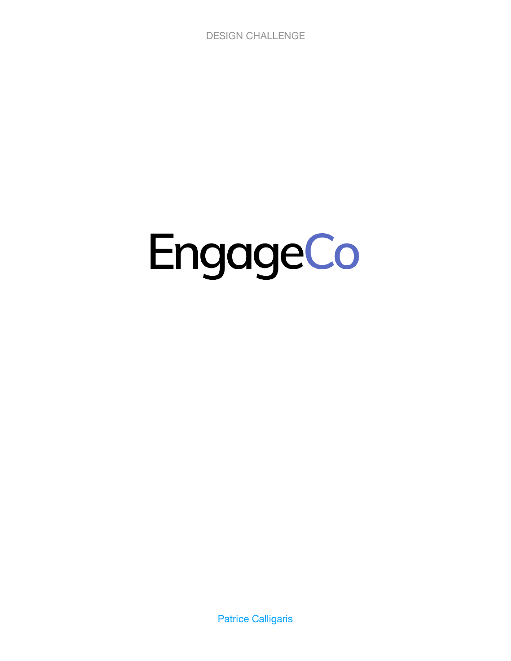DESIGN CHALLENGE

# EngageCo

Patrice Calligaris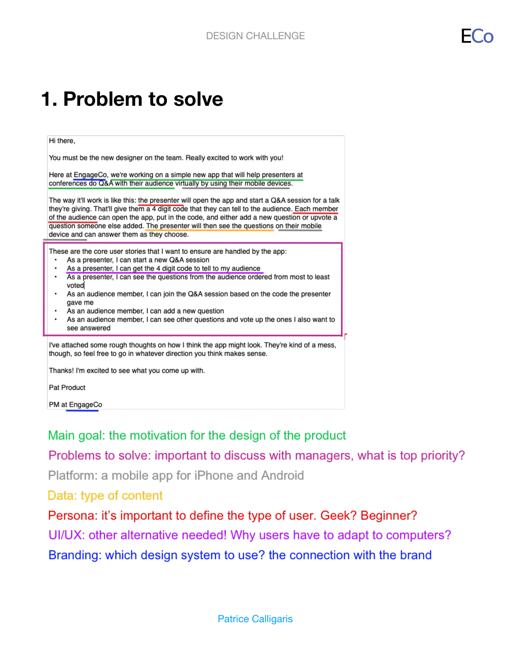#### **1. Problem to solve**

#### Hi there,

You must be the new designer on the team. Really excited to work with you!

Here at EngageCo, we're working on a simple new app that will help presenters at conferences do Q&A with their audience virtually by using their mobile devices.

The way it'll work is like this: the presenter will open the app and start a Q&A session for a talk they're giving. That'll give them a 4 digit code that they can tell to the audience. Each member of the audience can open the app, put in the code, and either add a new question or upvote a question someone else added. The presenter will then see the questions on their mobile device and can answer them as they choose.

These are the core user stories that I want to ensure are handled by the app:

- As a presenter, I can start a new Q&A session
- As a presenter, I can get the 4 digit code to tell to my audience
- As a presenter, I can see the questions from the audience ordered from most to least voted
- As an audience member, I can join the Q&A session based on the code the presenter gave me
- As an audience member, I can add a new question
- As an audience member, I can see other questions and vote up the ones I also want to see answered

I've attached some rough thoughts on how I think the app might look. They're kind of a mess, though, so feel free to go in whatever direction you think makes sense.

Thanks! I'm excited to see what you come up with.

**Pat Product** 

PM at EngageCo

Main goal: the motivation for the design of the product

Problems to solve: important to discuss with managers, what is top priority?

Platform: a mobile app for iPhone and Android

Data: type of content

Persona: it's important to define the type of user. Geek? Beginner? UI/UX: other alternative needed! Why users have to adapt to computers? Branding: which design system to use? the connection with the brand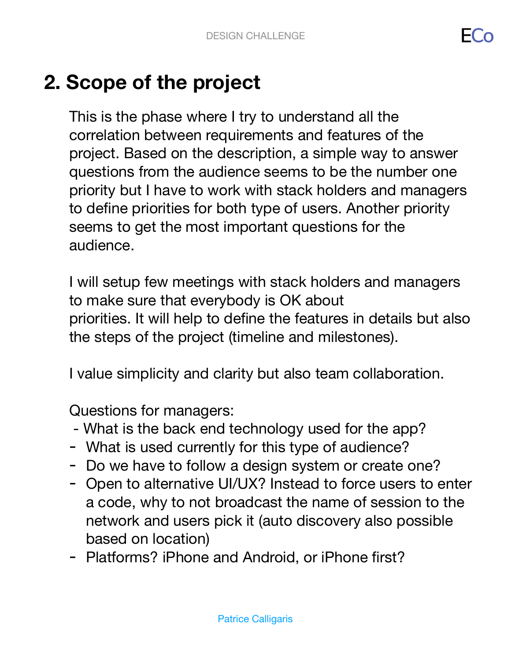## **2. Scope of the project**

This is the phase where I try to understand all the correlation between requirements and features of the project. Based on the description, a simple way to answer questions from the audience seems to be the number one priority but I have to work with stack holders and managers to define priorities for both type of users. Another priority seems to get the most important questions for the audience.

I will setup few meetings with stack holders and managers to make sure that everybody is OK about priorities. It will help to define the features in details but also the steps of the project (timeline and milestones).

I value simplicity and clarity but also team collaboration.

Questions for managers:

- What is the back end technology used for the app?
- What is used currently for this type of audience?
- Do we have to follow a design system or create one?
- Open to alternative UI/UX? Instead to force users to enter a code, why to not broadcast the name of session to the network and users pick it (auto discovery also possible based on location)
- Platforms? iPhone and Android, or iPhone first?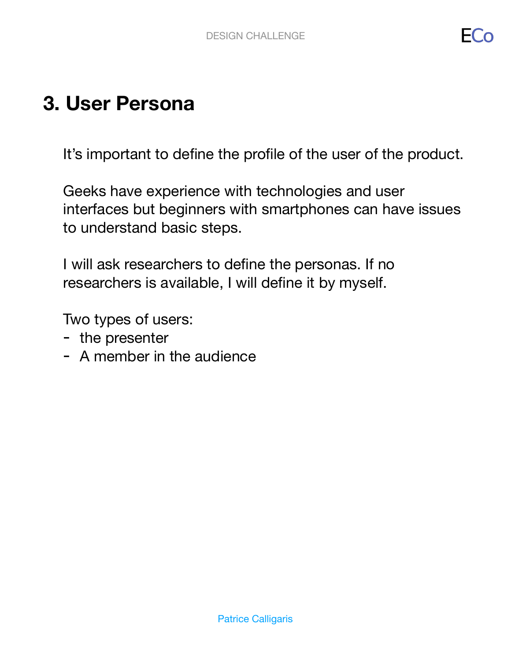### **3. User Persona**

It's important to define the profile of the user of the product.

Geeks have experience with technologies and user interfaces but beginners with smartphones can have issues to understand basic steps.

I will ask researchers to define the personas. If no researchers is available, I will define it by myself.

Two types of users:

- the presenter
- A member in the audience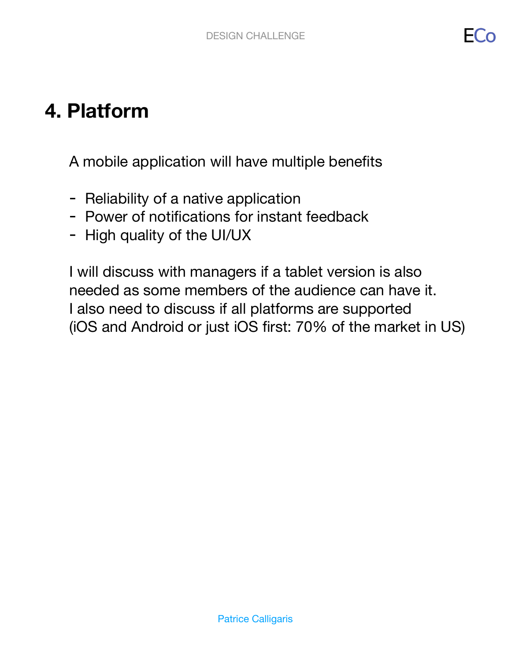HC)

#### **4. Platform**

A mobile application will have multiple benefits

- Reliability of a native application
- Power of notifications for instant feedback
- High quality of the UI/UX

I will discuss with managers if a tablet version is also needed as some members of the audience can have it. I also need to discuss if all platforms are supported (iOS and Android or just iOS first: 70% of the market in US)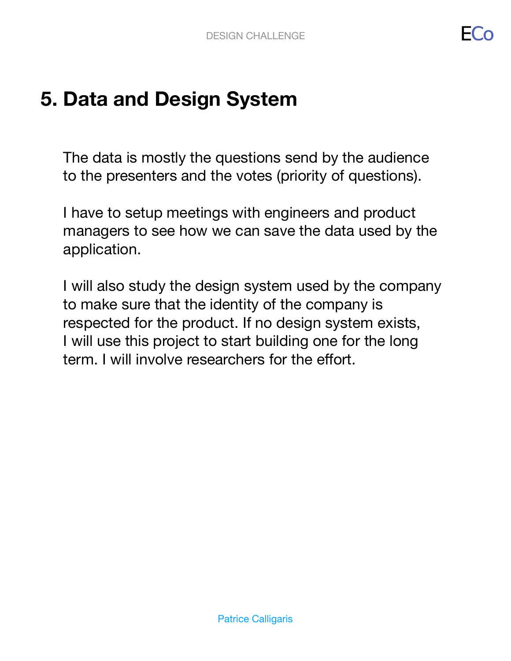#### **5. Data and Design System**

The data is mostly the questions send by the audience to the presenters and the votes (priority of questions).

I have to setup meetings with engineers and product managers to see how we can save the data used by the application.

I will also study the design system used by the company to make sure that the identity of the company is respected for the product. If no design system exists, I will use this project to start building one for the long term. I will involve researchers for the effort.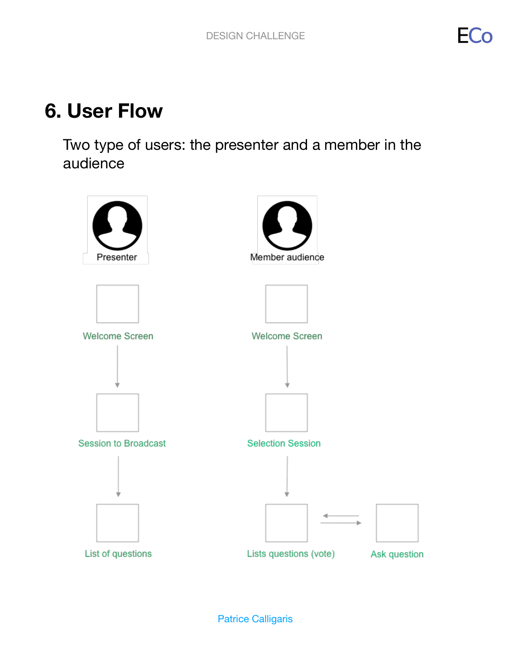#### **6. User Flow**

Two type of users: the presenter and a member in the audience

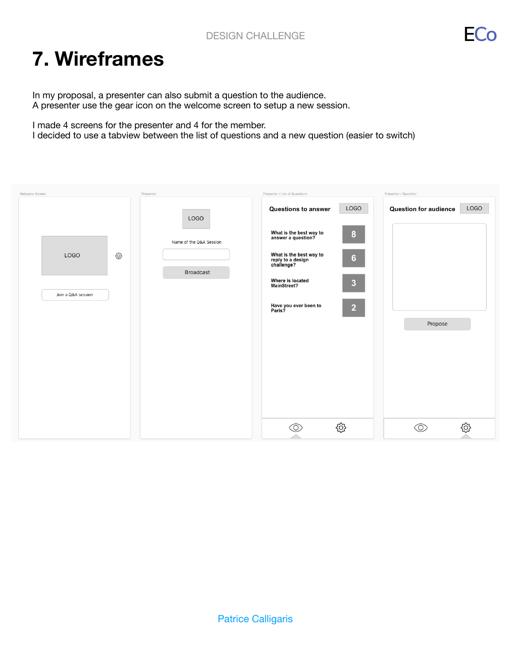FC

#### **7. Wireframes**

In my proposal, a presenter can also submit a question to the audience. A presenter use the gear icon on the welcome screen to setup a new session.

I made 4 screens for the presenter and 4 for the member.

I decided to use a tabview between the list of questions and a new question (easier to switch)

| Welcome Screen                          | Presenter                                                  | Presenter / List of Questions                                                                                                                                                                                                                                                              | Presenter / Question                            |
|-----------------------------------------|------------------------------------------------------------|--------------------------------------------------------------------------------------------------------------------------------------------------------------------------------------------------------------------------------------------------------------------------------------------|-------------------------------------------------|
| හි<br><b>LOGO</b><br>Join a Q&A session | <b>LOGO</b><br>Name of the Q&A Session<br><b>Broadcast</b> | <b>LOGO</b><br><b>Questions to answer</b><br>What is the best way to<br>answer a question?<br>8<br>What is the best way to<br>$6\phantom{.}6$<br>reply to a design<br>challenge?<br>Where is located<br>$\overline{3}$<br>MainStreet?<br>Have you ever been to<br>Paris?<br>$\overline{2}$ | LOGO<br><b>Question for audience</b><br>Propose |
|                                         |                                                            | छु<br>O)                                                                                                                                                                                                                                                                                   | හි<br>ා                                         |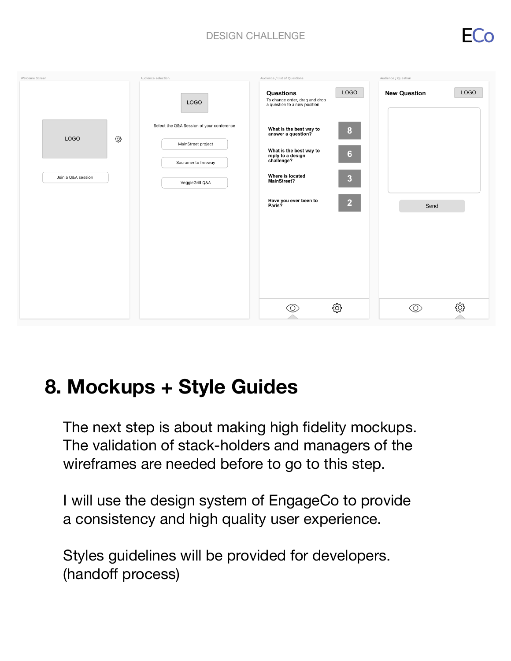#### DESIGN CHALLENGE

HC.



#### **8. Mockups + Style Guides**

The next step is about making high fidelity mockups. The validation of stack-holders and managers of the wireframes are needed before to go to this step.

I will use the design system of EngageCo to provide a consistency and high quality user experience.

Styles guidelines will be provided for developers. (handoff process)